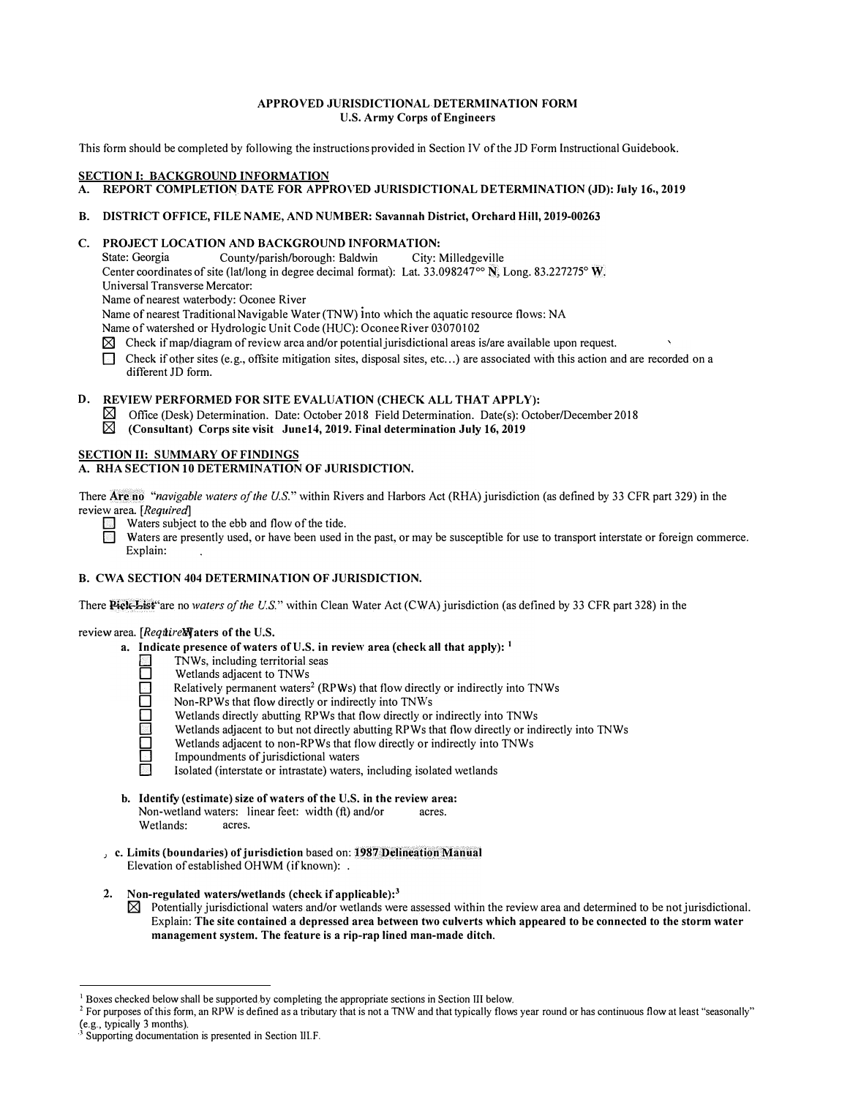# **APPROVED JURISDICTIONAL DETERMINATION FORM U.S. Army Corps of Engineers**

This form should be completed by following the instructions provided in Section IV of the JD Form Instructional Guidebook.

## **SECTION I: BACKGROUND INFORMATION**

**A. REPORT COMPLETION DATE FOR APPROVED JURISDICTIONAL DETERMINATION (JD): July 16,, 2019**

## **B. DISTRICT OFFICE, FILE NAME, AND NUMBER: Savannah District, Orchard Hill, 2019-00263**

**C. PROJECT LOCATION AND BACKGROUND INFORMATION:** County/parish/borough: Baldwin Center coordinates of site (lat/long in degree decimal format): Lat. 33.098247 $\degree$  N, Long. 83.227275 $\degree$  W. Universal Transverse Mercator:

Name of nearest waterbody: Oconee River

Name of nearest Traditional Navigable Water (TNW) into which the aquatic resource flows: NA

Name of watershed or Hydrologic Unit Code (HUC): Oconee River 03070102

- $\boxtimes$  Check if map/diagram of review area and/or potential jurisdictional areas is/are available upon request.
- Check if other sites (e.g., offsite mitigation sites, disposal sites, etc...) are associated with this action and are recorded on a different JD form.

## **D. REVIEW PERFORMED FOR SITE EVALUATION (CHECK ALL THAT APPLY):**

- $\boxtimes$  Office (Desk) Determination. Date: October 2018 Field Determination. Date(s): October/December 2018<br>
(Consultant) Corps site visit June 14, 2019. Final determination July 16, 2019
- [gj **(Consultant) Corps site visit June14, 2019. Final determination July 16, 2019**

# **SECTION II: SUMMARY OF FINDINGS**

# **A. RHA SECTION 10 DETERMINATION OF JURISDICTION.**

There Are **no** *"navigable waters of the U.S."* within Rivers and Harbors Act (RHA) jurisdiction (as defined by 33 CFR part 329) in the review area *[Required]*

- $\mathbb{R}$  Waters subject to the ebb and flow of the tide.
	- Waters are presently used, or have been used in the past, or may be susceptible for use to transport interstate or foreign commerce. Explain:

# **B. CWA SECTION 404 DETERMINATION OF ,JURISDICTION.**

There Piele-Bist<sup>\*</sup>are no *waters of the U.S.*" within Clean Water Act (CWA) jurisdiction (as defined by 33 CFR part 328) in the

#### review area. *[Requirel***]** aters of the U.S.

- **a. Indicate presence of waters of U.S. in review area (cheek all that apply):** 1
	- TNWs, including territorial seas<br>
	Wetlands adjacent to TNWs
		-
	- D Wetlands adjacent to TNWs<br>Relatively permanent waters<br>D Non-RPWs that flow directly Relatively permanent waters<sup>2</sup> (RPWs) that flow directly or indirectly into TNWs
	- Non-RPWs that flow directly or indirectly into TNWs
	- Wetlands directly abutting RPWs that flow directly or indirectly into TNWs
	- Wetlands adjacent to but not directly abutting RPWs that flow directly or indirectly into TNWs
	- Wetlands adjacent to non-RPWs that flow directly or indirectly into TNWs
	- Impoundments of jurisdictional waters
	- Isolated (interstate or intrastate) waters, including isolated wetlands
- **b. Identify (estimate) size of waters of the U.S. in the review area:**<br>Non-wetland waters: linear feet: width (ft) and/or acres. Non-wetland waters: linear feet: width (ft) and/or<br>Wetlands: acres. Wetlands:
- , c. Limits (boundaries) of jurisdiction based on: **1987 Delineation Manual** Elevation of established OHWM (if known): .
- **2. Non-regulated waters/wetlands (check if' applicable):<sup>3</sup>**
	- $\boxtimes$  Potentially jurisdictional waters and/or wetlands were assessed within the review area and determined to be not jurisdictional. Explain: **The site contained a depressed area between two culverts which appeared to be connected to the storm water management system. The feature is a rip-rap lined man-made ditch.**

<sup>&</sup>lt;sup>1</sup> Boxes checked below shall be supported by completing the appropriate sections in Section III below.<br><sup>2</sup> For purposes of this form, an RPW is defined as a tributary that is not a TNW and that typically flows year round

Supporting documentation is presented in Section III.F.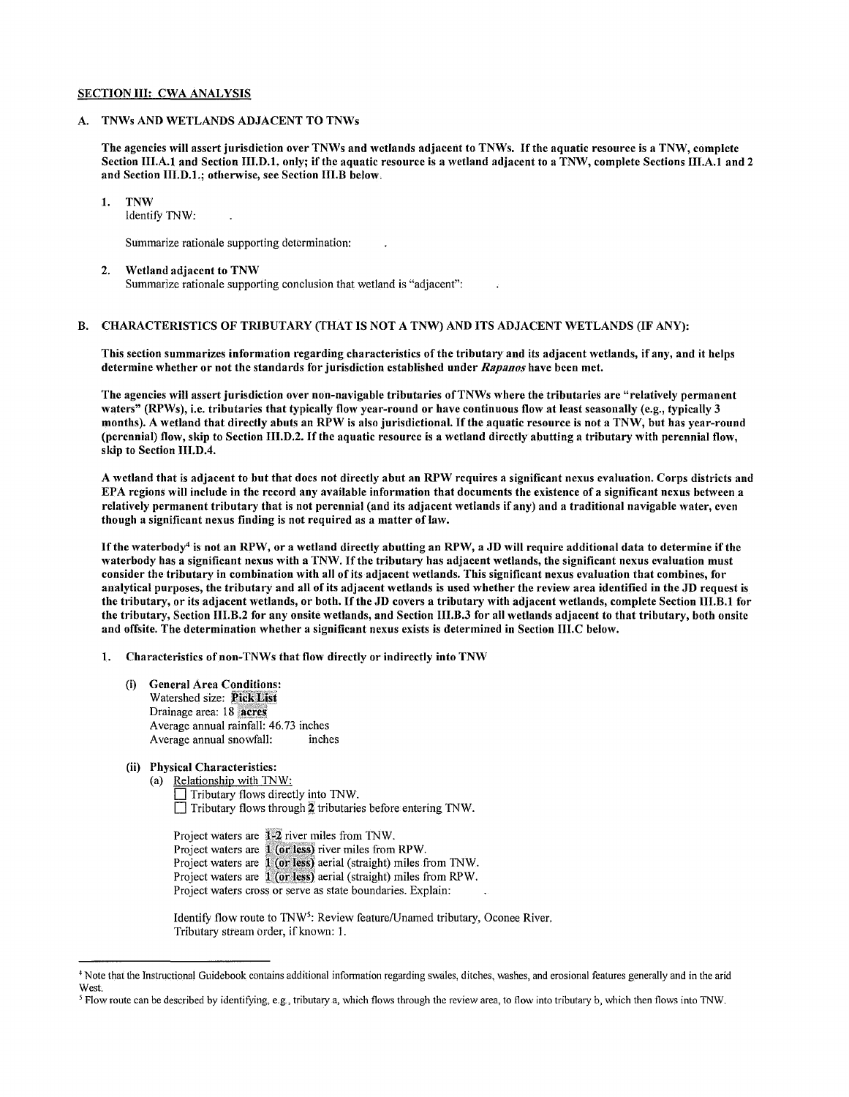# SECTION III: CWA ANALYSIS

## A. TNWs AND WETLANDS ADJACENT TO TNWs

The agencies will assert jurisdiction over TNWs and wetlands adjacent to TNWs. Ifthe aquatic resource is a TNW, complete Section III.A.I and Section 111.D.1. only; if the aquatic resource is a wetland adjacent to a TNW, complete Sections III.A.I and 2 and Section IIJ.D.1.; otherwise, see Section III.B below.

# 1. TNW

Identify TN W:

Summarize rationale supporting determination:

# 2. Wetland adjacent to TNW

Summarize rationale supporting conclusion that wetland is "adjacent":

# B. CHARACTERISTICS OF TRIBUTARY (THAT IS NOT A TNW) AND ITS ADJACENT WETLANDS (IF ANY):

This section summarizes information regarding characteristics of the tributary and its adjacent wetlands, if any, and it helps determine whether or not the standards for jurisdiction established under *Rapanos* have been met.

The agencies will assert jurisdiction over non-navigable tributaries ofTNWs where the tributaries are "relatively permanent waters" (RPWs), i.e. tributaries that typically flow year-round or have continuous flow at least seasonally (e.g., typically 3 months). A wetland that directly abuts an RPW is also jurisdictional. Ifthe aquatic resource is not a TNW, but has year-round (perennial) flow, skip to Section 111.D.2. Ifthe aquatic resource is a wetland directly abutting a tributary with perennial flow, skip to Section **111.D.4.** 

A wetland that is adjacent to but that does not directly abut an RPW requires a significant nexus evaluation. Corps districts and EPA regions will include in the record any available information that documents the existence of a significant nexus between a relatively permanent tributary that is not perennial (and its adjacent wetlands if any) and a traditional navigable water, even though a significant nexus finding is not required as a matter of law.

Ifthe waterbody<sup>4</sup>is not an RPW, or a wetland directly abutting an RPW, a JD will require additional data to determine if the waterbody has a significant nexus with a TNW. If the tributary has adjacent wetlands, the significant nexus evaluation must consider the tributary in combination with all of its adjacent wetlands. This significant nexus evaluation that combines, for analytical purposes, the tributary and all of its adjacent wetlands is used whether the review area identified in the JD request is the tributary, or its adjacent wetlands, or both. Ifthe JD covers a tributary with adjacent wetlands, complete Section IJI.B.1 for the tributary, Section IJI.B.2 for any onsite wetlands, and Section 111.B.3 for all wetlands adjacent to that tributary, both onsitc and offsite. The determination whether a significant nexus exists is determined in Section 111.C below.

1. Characteristics ofnon-TNWs that flow directly or indirectly into TNW

- (i) General Arca Conditions: Watershed size: Pick List Drainage area: 18 acres Average annual rainfall: 46.73 inches Average annual snowfall: inches
- (ii) Physical Characteristics:
	- (a) Relationship with TNW:

 $\Box$  Tributary flows directly into TNW.  $\Box$  Tributary flows through  $\frac{1}{2}$  tributaries before entering TNW.

Project waters are 1-2 river miles from TNW. Project waters are 1 (or less) river miles from RPW. Project waters are 1 (or less) aerial (straight) miles from TNW. Project waters are 1 (or less) aerial (straight) miles from RPW. Project waters cross or serve as state boundaries. Explain:

Identify flow route to TNW<sup>5</sup>: Review feature/Unamed tributary, Oconee River. Tributary stream order, ifknown: I.

<sup>4</sup> Note that the Instructional Guidebook contains additional infonnation regarding swales, ditches, washes, and erosional features generally and in the arid **West** 

<sup>5</sup> Flow route can be described by identifying, e.g., tributary a, which flows through the review area, to flow into tributary b, which then flows into TNW.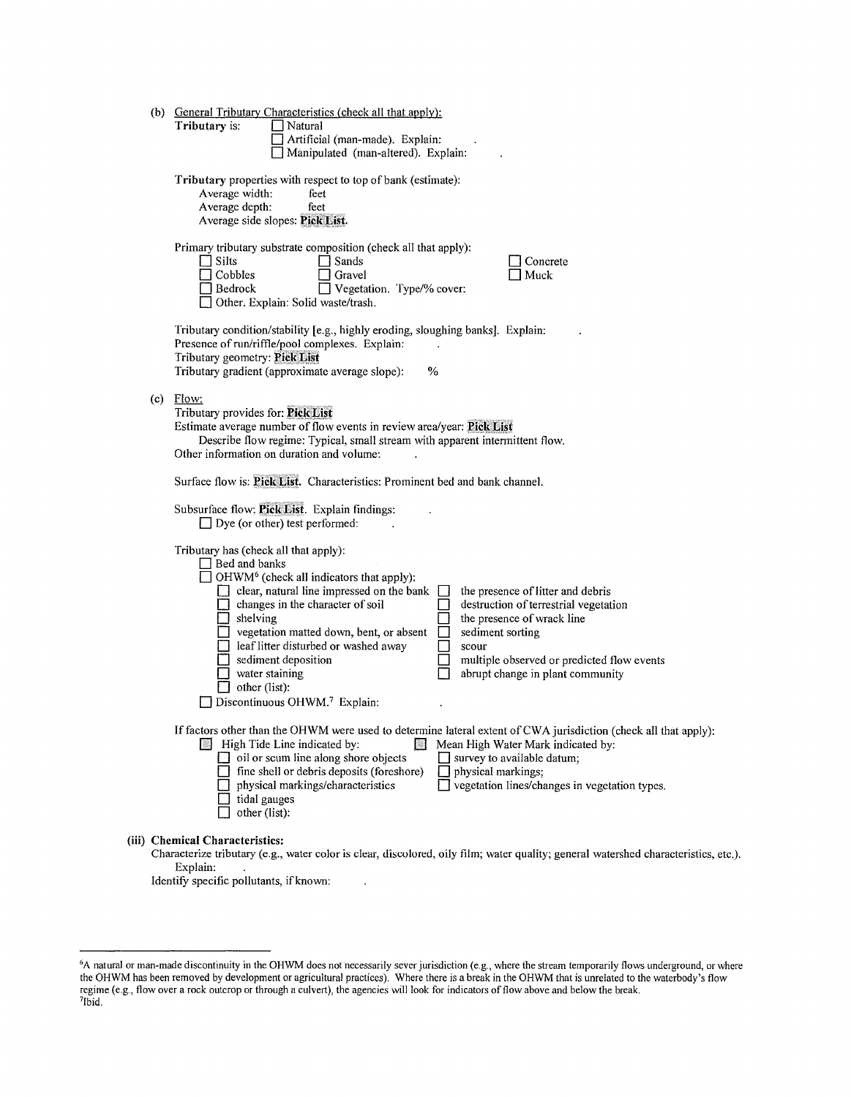|                                                                                                                                                                                                                                                         | (b) General Tributary Characteristics (check all that apply):<br>Tributary is:<br>Natural<br>Artificial (man-made). Explain:<br>Manipulated (man-altered). Explain:                                                                                                                                                                                                                                                                                                                                                                                                                                                                         |  |  |
|---------------------------------------------------------------------------------------------------------------------------------------------------------------------------------------------------------------------------------------------------------|---------------------------------------------------------------------------------------------------------------------------------------------------------------------------------------------------------------------------------------------------------------------------------------------------------------------------------------------------------------------------------------------------------------------------------------------------------------------------------------------------------------------------------------------------------------------------------------------------------------------------------------------|--|--|
|                                                                                                                                                                                                                                                         | Tributary properties with respect to top of bank (estimate):<br>Average width:<br>feet<br>Average depth:<br>feet<br>Average side slopes: Pick List.                                                                                                                                                                                                                                                                                                                                                                                                                                                                                         |  |  |
|                                                                                                                                                                                                                                                         | Primary tributary substrate composition (check all that apply):<br>$\Box$ Silts<br>Sands<br>Concrete<br>Cobbles<br>Gravel<br>Muck<br>Bedrock<br>Vegetation. Type/% cover:<br>Other. Explain: Solid waste/trash.                                                                                                                                                                                                                                                                                                                                                                                                                             |  |  |
|                                                                                                                                                                                                                                                         | Tributary condition/stability [e.g., highly eroding, sloughing banks]. Explain:<br>Presence of run/riffle/pool complexes. Explain:<br>Tributary geometry: Pick List<br>Tributary gradient (approximate average slope):<br>%                                                                                                                                                                                                                                                                                                                                                                                                                 |  |  |
| Flow:<br>(c)<br>Tributary provides for: Pick List<br>Estimate average number of flow events in review area/year: Pick List<br>Describe flow regime: Typical, small stream with apparent intermittent flow.<br>Other information on duration and volume: |                                                                                                                                                                                                                                                                                                                                                                                                                                                                                                                                                                                                                                             |  |  |
|                                                                                                                                                                                                                                                         | Surface flow is: Pick List. Characteristics: Prominent bed and bank channel.                                                                                                                                                                                                                                                                                                                                                                                                                                                                                                                                                                |  |  |
|                                                                                                                                                                                                                                                         | Subsurface flow: Pick List. Explain findings:<br>$\Box$ Dye (or other) test performed:                                                                                                                                                                                                                                                                                                                                                                                                                                                                                                                                                      |  |  |
|                                                                                                                                                                                                                                                         | Tributary has (check all that apply):<br>□ Bed and banks<br>OHWM <sup>6</sup> (check all indicators that apply):<br>$\Box$ clear, natural line impressed on the bank<br>the presence of litter and debris<br>changes in the character of soil<br>destruction of terrestrial vegetation<br>$\Box$ shelving<br>the presence of wrack line<br>vegetation matted down, bent, or absent<br>sediment sorting<br>leaf litter disturbed or washed away<br>scour<br>sediment deposition<br>multiple observed or predicted flow events<br>$\Box$ water staining<br>abrupt change in plant community<br>other (list):<br>Discontinuous OHWM.7 Explain: |  |  |
|                                                                                                                                                                                                                                                         | If factors other than the OHWM were used to determine lateral extent of CWA jurisdiction (check all that apply):<br>High Tide Line indicated by:<br>Mean High Water Mark indicated by:<br>$\mathbb{R}$<br>$\Box$ oil or scum line along shore objects<br>survey to available datum;<br>fine shell or debris deposits (foreshore)<br>physical markings;<br>vegetation lines/changes in vegetation types.<br>physical markings/characteristics<br>tidal gauges<br>other (list):                                                                                                                                                               |  |  |
|                                                                                                                                                                                                                                                         | (iii) Chemical Characteristics:<br>Characterize tributary (e.g., water color is clear, discolored, oily film; water quality; general watershed characteristics, etc.).<br>Explain:                                                                                                                                                                                                                                                                                                                                                                                                                                                          |  |  |

Identify specific pollutants, if known:

 $\ddot{\phantom{a}}$ 

<sup>&</sup>lt;sup>6</sup>A natural or man-made discontinuity in the OHWM does not necessarily sever jurisdiction (e.g., where the stream temporarily flows underground, or where the OHWM has been removed by development or agricultural practices). Where there is a break in the OHWM that is unrelated to the waterbody's flow regime ( e.g., flow over a rock outcrop or through a culvert), the agencies will look for indicators of flow above and below the break. 7lbid.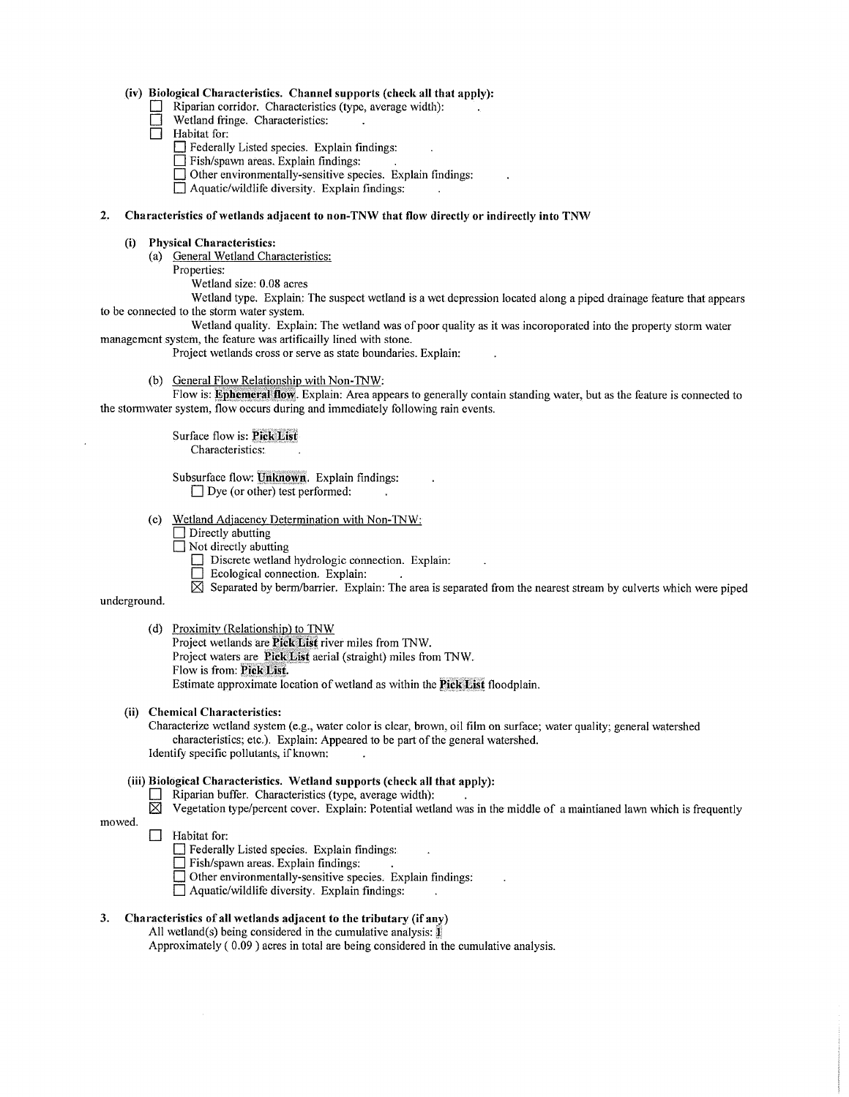# **(iv) Biological Characteristics. Channel supports (check all that apply):**

- Riparian corridor. Characteristics (type, average width):
- Wetland fringe. Characteristics:
- $\Box$  Habitat for:
	- **D** Federally Listed species. Explain findings:
	- **D** Fish/spawn areas. Explain findings:
	- **D** Other environmentally-sensitive species. Explain findings:

 $\Box$  Aquatic/wildlife diversity. Explain findings:

### **2. Characteristics of wetlands adjacent to non-TNW that flow directly or indirectly into TNW**

## **(i) Physical Characteristics:**

(a) General Wetland Characteristics:

Properties:

Wetland size: 0.08 acres

Wetland type. Explain: The suspect wetland is a wet depression located along a piped drainage feature that appears to be connected to the storm water system.

Wetland quality. Explain: The wetland was of poor quality as it was incoroporated into the property storm water management system, the feature was artificailly lined with stone.

Project wetlands cross or serve as state boundaries. Explain:

(b) General Flow Relationship with Non-TNW:

Flow is: **Ephemeral flow**. Explain: Area appears to generally contain standing water, but as the feature is connected to the stormwater system, flow occurs during and immediately following rain events.

> Surface flow is: Pick List Characteristics:

Subsurface flow: Unknown. Explain findings:  $\Box$  Dye (or other) test performed:

(c) Wetland Adjacency Determination with Non-TNW:

- $\Box$  Directly abutting
- $\Box$  Not directly abutting
	- Discrete wetland hydrologic connection. Explain:
	- □ Ecological connection. Explain:

 $\boxtimes$  Separated by berm/barrier. Explain: The area is separated from the nearest stream by culverts which were piped

underground.

mowed.

(d) Proximity (Relationship) to TNW

Project wetlands are **Pick List** river miles from TNW.

Project waters are **Pick List** aerial (straight) miles from TNW.

Flow is from: Pick List.

Estimate approximate location of wetland as within the **Pick List** floodplain.

# **(ii) Chemical Characteristics:**

Characterize wetland system (e.g., water color is clear, brown, oil film on surface; water quality; general watershed characteristics; etc.). Explain: Appeared to be part of the general watershed. Identify specific pollutants, if known:

# **(iii) Biological Characteristics. Wetland supports (check all that apply):**

- $\Box$  Riparian buffer. Characteristics (type, average width):
- $\boxtimes$  Vegetation type/percent cover. Explain: Potential wetland was in the middle of a maintianed lawn which is frequently

## D Habitat for:

- **D** Federally Listed species. Explain findings:
- **D** Fish/spawn areas. Explain findings:
- **D** Other environmentally-sensitive species. Explain findings:
- D Aquatic/wildlife diversity. Explain findings:

# **3. Characteristics of all wetlands adjacent to the tributary (if any)**

All wetland(s) being considered in the cumulative analysis: $\mathbf{\hat{j}}$ 

Approximately ( 0.09) acres in total are being considered in the cumulative analysis.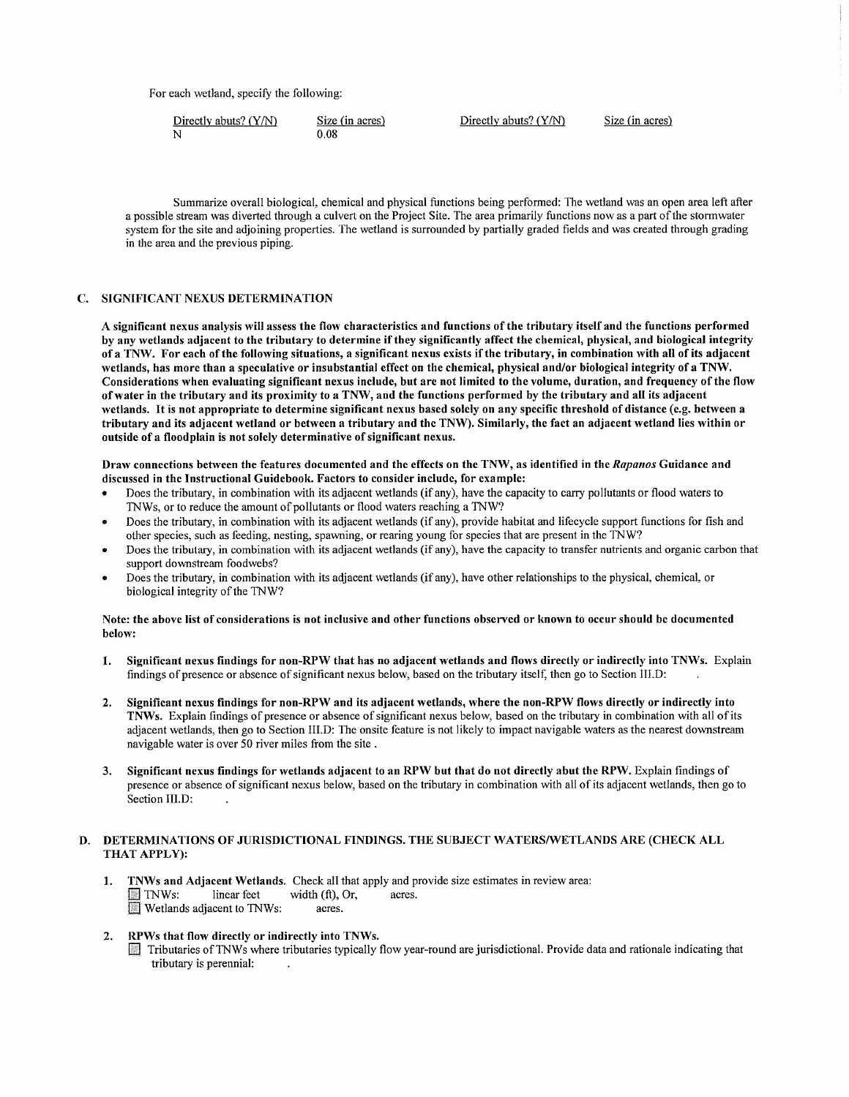For each wetland, specify the following:

| Directly abuts? $(Y/N)$ | Size (in acres) | Directly abuts? $(Y/N)$ | Size (in acres) |
|-------------------------|-----------------|-------------------------|-----------------|
|                         | 0.08            |                         |                 |

Summarize overall biological, chemical and physical functions being performed: The wetland was an open area left after a possible stream was diverted through a culvert on the Project Site. The area primarily functions now as a part ofthe stormwater system for the site and adjoining properties. The wetland is surrounded by partially graded fields and was created through grading in the area and the previous piping.

# **C. SIGNIFICANT NEXUS DETERMINATION**

**A significant nexus analysis will assess the flow characteristics and functions of the tributary itself and the functions performed by any wetlands adjacent to the tributary to determine if they significantly affect the chemical, physical, and biological integrity of a TNW. For each of the following situations, a significant nexns exists if the tributary, in combination with all of its adjacent wetlands, has more than a speculative or insubstantial effect on the chemical, physical and/or biological integrity of a TNW. Considerations when evaluating significant nexus include, but are not limited to the volume, duration, and frequency of the flow ofwater in the tributary and its proximity to a TNW, and the functions performed by the tributary and all its adjacent wetlands.** It **is not appropriate to determine significant nexus based solely on any specific threshold of distance (e.g. between a tributary and its adjacent wetland or between a tributary and the TNW). Similarly, the fact an adjacent wetland lies within or outside of a floodplain is not solely determinative of significant nexus.** 

Draw connections between the features documented and the effects on the TNW, as identified in the *Rapanos* Guidance and **discussed in the Instructional Guidebook. Factors to consider include, for example:** 

- Does the tributary, in combination with its adjacent wetlands (if any), have the capacity to carry pollutants or flood waters to TNWs, or to reduce the amount of pollutants or flood waters reaching a TNW?
- Does the tributary, in combination with its adjacent wetlands (if any), provide habitat and lifecycle support functions for fish and other species, such as feeding. nesting, spawning, or rearing young for species that are present in the TNW?
- Does the tributary, in combination with its adjacent wetlands (if any), have the capacity to transfer nutrients and organic carbon that support downstream foodwebs?
- Does the tributary, in combination with its adjacent wetlands (if any), have other relationships to the physical, chemical, or biological integrity of the TNW?

# **Note: the above list of considerations is not inclusive and other functions observed or known to occur should be documented below:**

- **1. Significant nexus findings for non-RPW that has no adjacent wetlands and flows directly or indirectly into TNWs.** Explain findings of presence or absence of significant nexus below, based on the tributary itself, then go to Section III.D:
- **2. Significant nexus findings for non-RPW and its adjacent wetlands, where the non-RPW flows directly or indirectly into TNWs.** Explain findings of presence or absence of significant nexus below, based on the tributary in combination with all of its adjacent wetlands, then go to Section III.D: The onsite feature is not likely to impact navigable waters as the nearest downstream navigable water is over 50 river miles from the site .
- **3. Significant nexus findings for wetlands adjacent to an RPW but that do not directly abut the RPW.** Explain findings of presence or absence ofsignificant nexus below, based on the tributary in combination with all of its adjacent wetlands, then go to Section III.D:

# **D. DETERMINATIONS OF JURISDICTIONAL FINDINGS. THE SUBJECT WATERS/WETLANDS ARE (CHECK ALL THAT APPLY):**

- **1. TNWs and Adjacent Wetlands.** Check all that apply and provide size estimates in review area:<br>TNWs: linear feet width (ft), Or, acres.  $B$  The TNWs: width (ft), Or, acres.  $\blacksquare$  Wetlands adjacent to TNWs:
- **2. RPWs that flow directly or indirectly into TNWs.** 
	- 11] Tributaries ofTNWs where tributaries typically flow year-round are jurisdictional. Provide data and rationale indicating that tributary is perennial: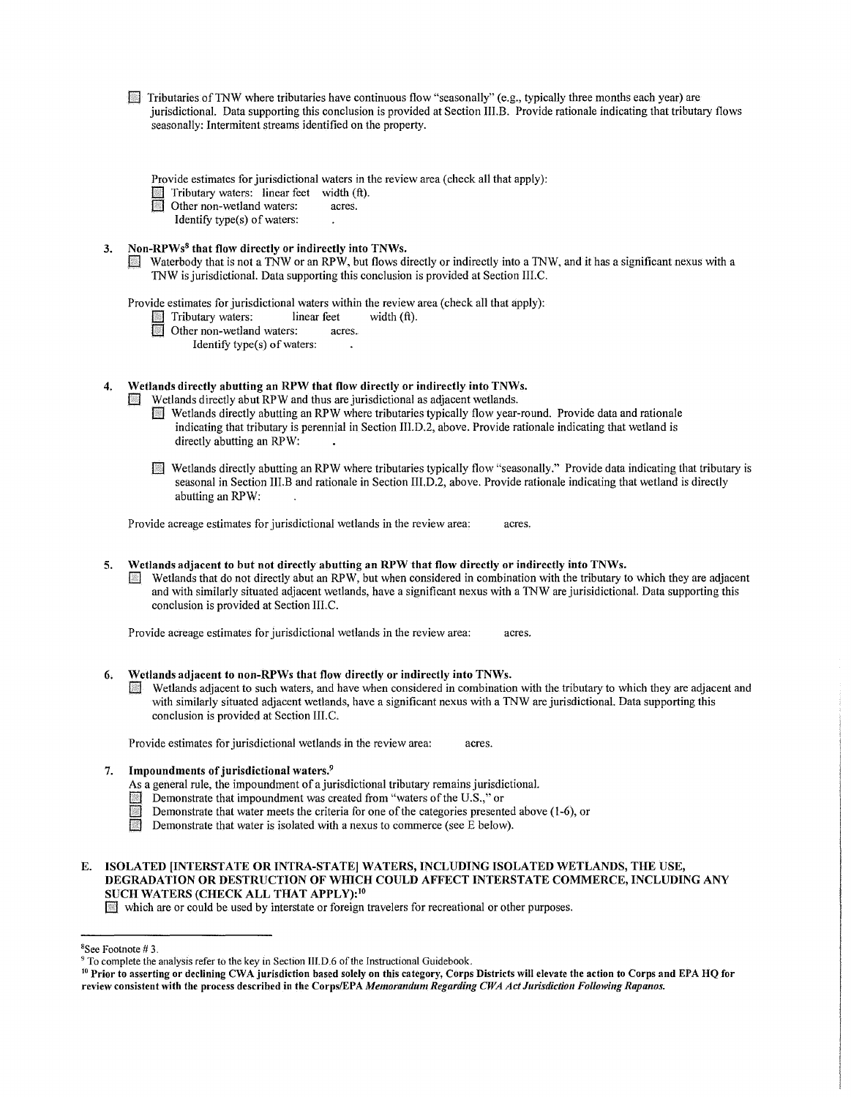$\Box$  Tributaries of TNW where tributaries have continuous flow "seasonally" (e.g., typically three months each year) are jurisdictional. Data supporting this conclusion is provided at Section III.B. Provide rationale indicating that tributary flows seasonally: Intermitent streams identified on the property.

Provide estimates for jurisdictional waters in the review area (check all that apply):

Tributary waters: linear feet width  $(ft)$ .<br>Other non-wetland waters: acres

Other non-wetland waters:

Identify type(s) of waters:

# **3. Non-RPWs<sup>8</sup>that flow directly or indirectly into TNWs.**

Waterbody that is not a TNW or an RPW, but flows directly or indirectly into a TNW, and it has a significant nexus with a 1NW is jurisdictional. Data supporting this conclusion is provided at Section III.C.

Provide estimates for jurisdictional waters within the review area (check all that apply):<br>
Tributary waters: linear feet width (ft).

- Tributary waters: linear feet<br>
Other non-wetland waters: acres.
	- Other non-wetland waters:
		- Identify type(s) of waters:
- **4. Wetlands directly abutting an RPW that flow directly or indirectly into TNWs.**

Wetlands directly abut RPW and thus are jurisdictional as adjacent wetlands.

- 0 Wetlands directly abutting an RPW where tributaries typically flow year-round. Provide data and rationale indicating that tributary is perennial in Section III.D.2, above. Provide rationale indicating that wetland is directly abutting an RPW:
- [E Wetlands directly abutting an RPW where tributaries typically flow "seasonally." Provide data indicating that tributary is seasonal in Section III.B and rationale in Section III.D.2, above. Provide rationale indicating that wetland is directly abutting an RPW:

Provide acreage estimates for jurisdictional wetlands in the review area: acres.

**5. Wetlands adjacent to but not directly abutting an RPW that flow directly or indirectly into TNWs.**  Wetlands that do not directly abut an RPW, but when considered in combination with the tributary to which they are adjacent and with similarly situated adjacent wetlands, have a significant nexus with a 1NW are jurisidictional. Data supporting this conclusion is provided at Section 111.C.

Provide acreage estimates for jurisdictional wetlands in the review area: acres.

- **6. Wetlands adjacent to non-RPWs that flow directly or indirectly into TNWs.** 
	- [] Wetlands adjacent to such waters, and have when considered in combination with the tributary to which they are adjacent and with similarly situated adjacent wetlands, have a significant nexus with a 1NW are jurisdictional. Data supporting this conclusion is provided at Section III.C.

Provide estimates for jurisdictional wetlands in the review area: acres.

7. **Impoundments of jurisdictional waters.<sup>9</sup>**

As a general rule, the impoundment of a jurisdictional tributary remains jurisdictional.

- **EXECUTE:** Demonstrate that impoundment was created from "waters of the U.S.," or Demonstrate that water meets the criteria for one of the categories present
- **EXECUTE:** Demonstrate that water meets the criteria for one of the categories presented above (1-6), or<br>
Demonstrate that water is isolated with a nexus to commerce (see F below)
- Demonstrate that water is isolated with a nexus to commerce (see E below).
- **E. ISOLATED [INTERSTATE OR INTRA-STATE] WATERS, INCLUDING ISOLATED WETLANDS, THE USE, DEGRADATION OR DESTRUCTION OF WHICH COULD AFFECT INTERSTATE COMMERCE, INCLUDING ANY SUCH WATERS (CHECK ALL THAT APPLY): <sup>10</sup>**

[] which are or could be used by interstate or foreign travelers for recreational or other purposes.

8 See Footnote# 3.

<sup>&</sup>lt;sup>9</sup> To complete the analysis refer to the key in Section III.D.6 of the Instructional Guidebook.<br><sup>10</sup> Prior to asserting or declining CWA jurisdiction based solely on this category, Corps Districts will elevate the action review consistent with the process described in the Corps/EPA *Memorandum Regarding CWA Act Jurisdiction Following Rapanos.*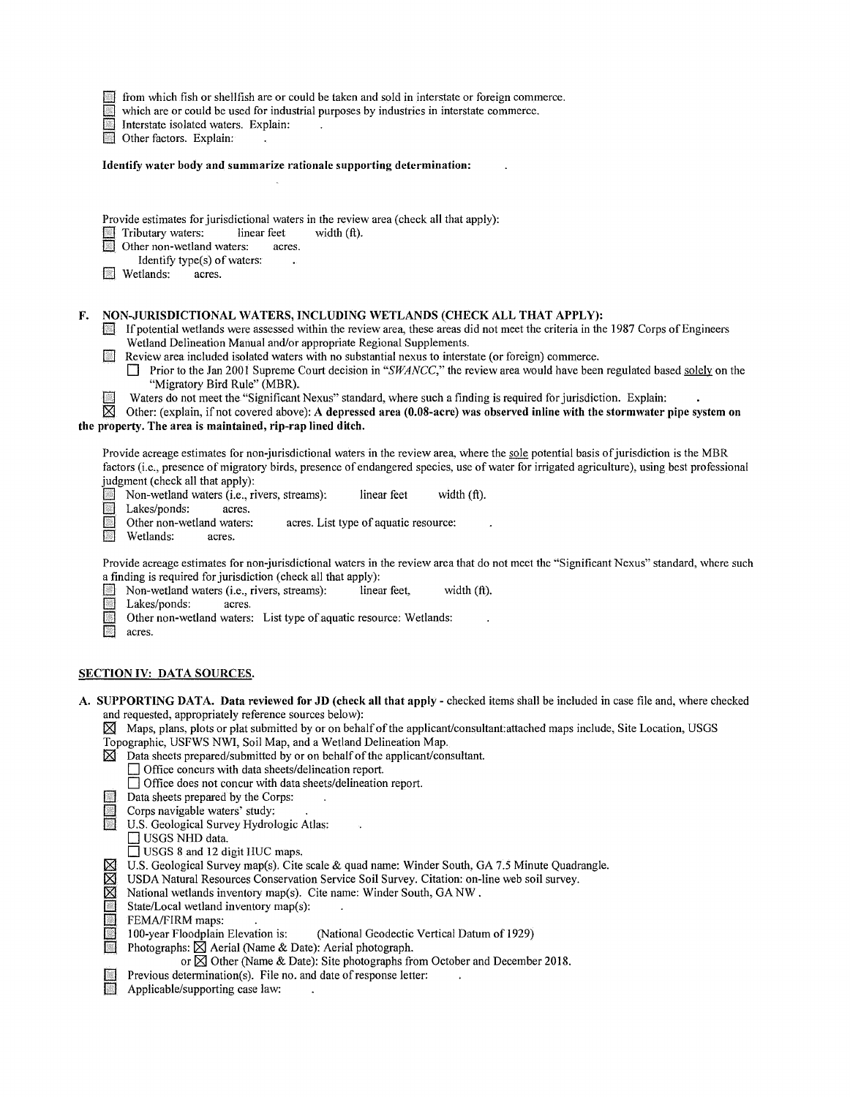$\blacksquare$  from which fish or shellfish are or could be taken and sold in interstate or foreign commerce.<br>which are or could be used for industrial purposes by industries in interstate commerce.

which are or could be used for industrial purposes by industries in interstate commerce.

Interstate isolated waters. Explain:

Other factors. Explain:

**Identify water body and summarize rationale supporting determination:** 

Provide estimates for jurisdictional waters in the review area (check all that apply):<br>
Tributary waters: linear feet width (ft).

- $\Box$  Tributary waters: linear feet  $\Box$  Other non-wetland waters: acres.
- Other non-wetland waters:

Identify type(s) of waters:<br>tands: acres.

Wetlands:

## **F. NON-JURISDICTIONAL WATERS, INCLUDING WETLANDS (CHECK ALL THAT APPLY):**

- *[]* Ifpotential wetlands were assessed within the review area, these areas did not meet the criteria in the 1987 Corps ofEngineers Wetland Delineation Manual and/or appropriate Regional Supplements.
- Q Review area included isolated waters with no substantial nexus to interstate (or foreign) commerce.
	- **Prior to the Jan 2001 Supreme Court decision in "***SWANCC***," the review area would have been regulated based solely on the** "Migratory Bird Rule" (MBR).
- Waters do not meet the "Significant Nexus" standard, where such a finding is required for jurisdiction. Explain:  $\overline{\boxtimes}$  Other: (explain, if not covered above): A depressed area (0.08-acre) was observed inline with the

Other: (explain, if not covered above): A depressed area (0.08-acre) was observed inline with the stormwater pipe system on **the property. The area is maintained, rip-rap lined ditch.** 

Provide acreage estimates for non-jurisdictional waters in the review area, where the sole potential basis of jurisdiction is the MBR factors (i.e., presence of migratory birds, presence of endangered species, use of water for irrigated agriculture), using best professional judgment (check all that apply):<br>
Non-wetland waters (i.e., ri

**D** Non-wetland waters (i.e., rivers, streams): linear feet width (ft).<br>
Lakes/ponds: acres.

Lakes/ponds: acres.<br>Other non-wetland waters:

Q Other non-wetland waters: acres. List type of aquatic resource:<br>
Wetlands: acres.

Wetlands: acres.

Provide acreage estimates for non-jurisdictional waters in the review area that do not meet the "Significant Nexus" standard, where such a finding is required for jurisdiction (check all that apply):<br>
Non-wetland waters (i.e., rivers, streams): linear feet,

- **D** Non-wetland waters (i.e., rivers, streams): linear feet, width (ft).<br>Lakes/ponds: acres.
	- Lakes/ponds:
- [J] Other non-wetland waters: List type of aquatic resource: Wetlands:<br>acres.
- *[]* acres.

# **SECTION IV: DATA SOURCES.**

- **A. SUPPORTING DATA. Data reviewed for JD (check all that apply**  checked items shall be included in case file and, where checked and requested, appropriately reference sources below):
	- **f8l** Maps, plans, plots or plat submitted by or on behalfofthe applicant/consultant:attached maps include, Site Location, USGS
	- Topographic, USFWS NWI, Soil Map, and a Wetland Delineation Map.
	- **f8l** Data sheets prepared/submitted by or on behalfofthe applicant/consultant.
		- Q Office concurs with data sheets/delineation report.
			- □ Office does not concur with data sheets/delineation report.
	- □ Data sheets prepared by the Corps:<br>□ Corps navigable waters' study:
	- Corps navigable waters' study:
	- **U.S. Geological Survey Hydrologic Atlas:** 
		- $\Box$  USGS NHD data.
		- □ USGS 8 and 12 digit HUC maps.
	- $\boxtimes$  U.S. Geological Survey map(s). Cite scale & quad name: Winder South, GA 7.5 Minute Quadrangle.<br> $\boxtimes$  USDA Natural Resources Conservation Service Soil Survey. Citation: on-line web soil survey.
	- **EX** USDA Natural Resources Conservation Service Soil Survey. Citation: on-line web soil survey.<br> **EXECUTE:** National wetlands inventory map(s). Cite name: Winder South, GA NW.<br> **EXECUTE:** FEMA/FIRM maps:
	- National wetlands inventory map(s). Cite name: Winder South, GA NW.
	- State/Local wetland inventory map(s):
	-
	- **EXALCOMENDERS** FEMA/FIRM maps:<br>100-year Floodplain Elevation is: (National Geodectic Vertical Datum of 1929)
	- **Fig. 2** Photographs:  $\hat{\boxtimes}$  Aerial (Name & Date): Aerial photograph.
		- or  $\boxtimes$  Other (Name & Date): Site photographs from October and December 2018.
		- Previous determination(s). File no. and date of response letter:
	- Applicable/supporting case law: